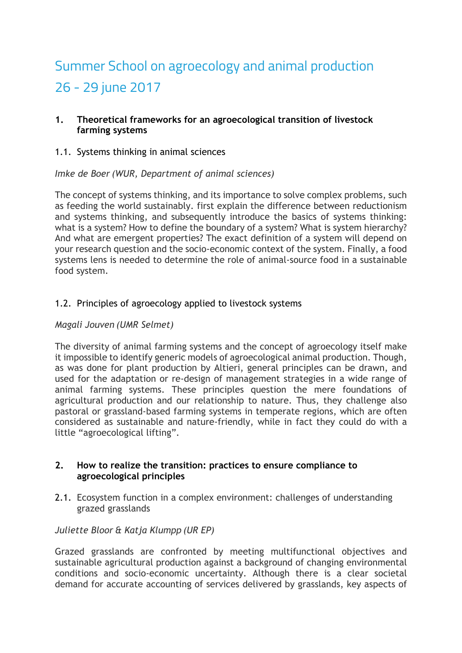# Summer School on agroecology and animal production 26 - 29 june 2017

## **1. Theoretical frameworks for an agroecological transition of livestock farming systems**

1.1. Systems thinking in animal sciences

## *Imke de Boer (WUR, Department of animal sciences)*

The concept of systems thinking, and its importance to solve complex problems, such as feeding the world sustainably. first explain the difference between reductionism and systems thinking, and subsequently introduce the basics of systems thinking: what is a system? How to define the boundary of a system? What is system hierarchy? And what are emergent properties? The exact definition of a system will depend on your research question and the socio-economic context of the system. Finally, a food systems lens is needed to determine the role of animal-source food in a sustainable food system.

## 1.2. Principles of agroecology applied to livestock systems

## *Magali Jouven (UMR Selmet)*

The diversity of animal farming systems and the concept of agroecology itself make it impossible to identify generic models of agroecological animal production. Though, as was done for plant production by Altieri, general principles can be drawn, and used for the adaptation or re-design of management strategies in a wide range of animal farming systems. These principles question the mere foundations of agricultural production and our relationship to nature. Thus, they challenge also pastoral or grassland-based farming systems in temperate regions, which are often considered as sustainable and nature-friendly, while in fact they could do with a little "agroecological lifting".

#### **2. How to realize the transition: practices to ensure compliance to agroecological principles**

2.1. Ecosystem function in a complex environment: challenges of understanding grazed grasslands

#### *Juliette Bloor & Katja Klumpp (UR EP)*

Grazed grasslands are confronted by meeting multifunctional objectives and sustainable agricultural production against a background of changing environmental conditions and socio-economic uncertainty. Although there is a clear societal demand for accurate accounting of services delivered by grasslands, key aspects of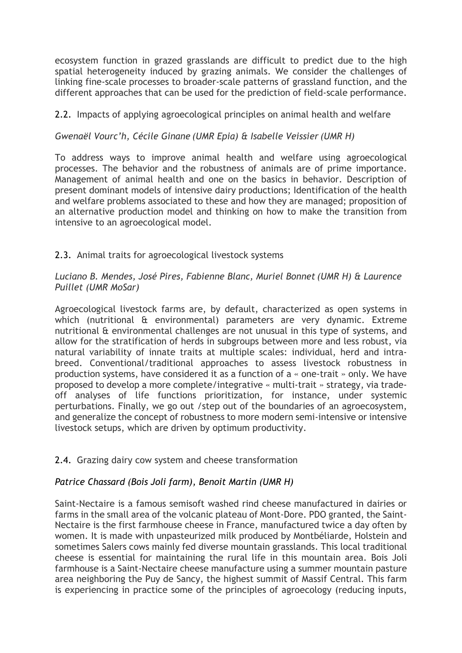ecosystem function in grazed grasslands are difficult to predict due to the high spatial heterogeneity induced by grazing animals. We consider the challenges of linking fine-scale processes to broader-scale patterns of grassland function, and the different approaches that can be used for the prediction of field-scale performance.

## 2.2. Impacts of applying agroecological principles on animal health and welfare

*Gwenaël Vourc'h, Cécile Ginane (UMR Epia) & Isabelle Veissier (UMR H)*

To address ways to improve animal health and welfare using agroecological processes. The behavior and the robustness of animals are of prime importance. Management of animal health and one on the basics in behavior. Description of present dominant models of intensive dairy productions; Identification of the health and welfare problems associated to these and how they are managed; proposition of an alternative production model and thinking on how to make the transition from intensive to an agroecological model.

## 2.3. Animal traits for agroecological livestock systems

## *Luciano B. Mendes, José Pires, Fabienne Blanc, Muriel Bonnet (UMR H) & Laurence Puillet (UMR MoSar)*

Agroecological livestock farms are, by default, characterized as open systems in which (nutritional & environmental) parameters are very dynamic. Extreme nutritional & environmental challenges are not unusual in this type of systems, and allow for the stratification of herds in subgroups between more and less robust, via natural variability of innate traits at multiple scales: individual, herd and intrabreed. Conventional/traditional approaches to assess livestock robustness in production systems, have considered it as a function of a « one-trait » only. We have proposed to develop a more complete/integrative « multi-trait » strategy, via tradeoff analyses of life functions prioritization, for instance, under systemic perturbations. Finally, we go out /step out of the boundaries of an agroecosystem, and generalize the concept of robustness to more modern semi-intensive or intensive livestock setups, which are driven by optimum productivity.

#### 2.4. Grazing dairy cow system and cheese transformation

# *Patrice Chassard (Bois Joli farm), Benoit Martin (UMR H)*

Saint-Nectaire is a famous semisoft washed rind cheese manufactured in dairies or farms in the small area of the volcanic plateau of Mont-Dore. PDO granted, the Saint-Nectaire is the first farmhouse cheese in France, manufactured twice a day often by women. It is made with unpasteurized milk produced by Montbéliarde, Holstein and sometimes Salers cows mainly fed diverse mountain grasslands. This local traditional cheese is essential for maintaining the rural life in this mountain area. Bois Joli farmhouse is a Saint-Nectaire cheese manufacture using a summer mountain pasture area neighboring the Puy de Sancy, the highest summit of Massif Central. This farm is experiencing in practice some of the principles of agroecology (reducing inputs,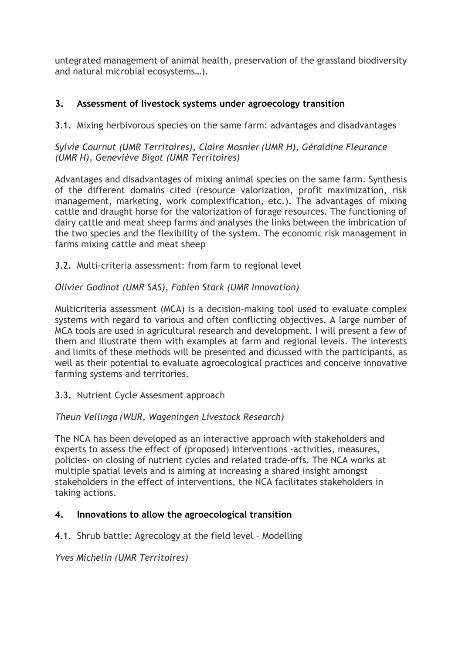untegrated management of animal health, preservation of the grassland biodiversity and natural microbial ecosystems…).

# **3. Assessment of livestock systems under agroecology transition**

3.1. Mixing herbivorous species on the same farm: advantages and disadvantages

*Sylvie Cournut (UMR Territoires), Claire Mosnier (UMR H), Géraldine Fleurance (UMR H), Geneviève Bigot (UMR Territoires)*

Advantages and disadvantages of mixing animal species on the same farm. Synthesis of the different domains cited (resource valorization, profit maximization, risk management, marketing, work complexification, etc.). The advantages of mixing cattle and draught horse for the valorization of forage resources. The functioning of dairy cattle and meat sheep farms and analyses the links between the imbrication of the two species and the flexibility of the system. The economic risk management in farms mixing cattle and meat sheep

3.2. Multi-criteria assessment: from farm to regional level

## *Olivier Godinot (UMR SAS), Fabien Stark (UMR Innovation)*

Multicriteria assessment (MCA) is a decision-making tool used to evaluate complex systems with regard to various and often conflicting objectives. A large number of MCA tools are used in agricultural research and development. I will present a few of them and illustrate them with examples at farm and regional levels. The interests and limits of these methods will be presented and dicussed with the participants, as well as their potential to evaluate agroecological practices and conceive innovative farming systems and territories.

3.3. Nutrient Cycle Assesment approach

# *Theun Vellinga (WUR, Wageningen Livestock Research)*

The NCA has been developed as an interactive approach with stakeholders and experts to assess the effect of (proposed) interventions -activities, measures, policies- on closing of nutrient cycles and related trade-offs. The NCA works at multiple spatial levels and is aiming at increasing a shared insight amongst stakeholders in the effect of interventions, the NCA facilitates stakeholders in taking actions.

# **4. Innovations to allow the agroecological transition**

4.1. Shrub battle: Agrecology at the field level – Modelling

*Yves Michelin (UMR Territoires)*